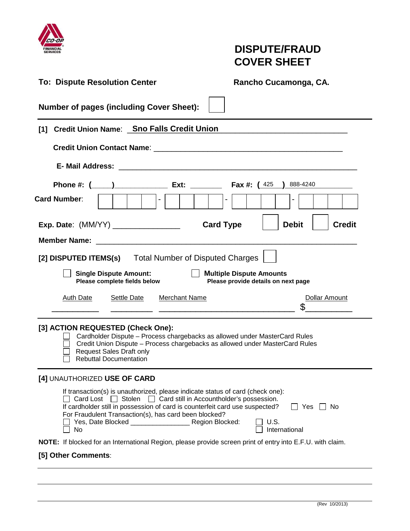

# **DISPUTE/FRAUD COVER SHEET**

| <b>To: Dispute Resolution Center</b>                                                                                                                                                                                                                                                                             | Rancho Cucamonga, CA.                                                  |  |  |  |
|------------------------------------------------------------------------------------------------------------------------------------------------------------------------------------------------------------------------------------------------------------------------------------------------------------------|------------------------------------------------------------------------|--|--|--|
| <b>Number of pages (including Cover Sheet):</b>                                                                                                                                                                                                                                                                  |                                                                        |  |  |  |
| Credit Union Name: Sno Falls Credit Union<br>[1]                                                                                                                                                                                                                                                                 |                                                                        |  |  |  |
| Credit Union Contact Name: Union Contact Name: Union Contact Name: Union Contact Name: Union Contact Name: Union Contact Name: Union Contact Name: Union Contact Name: Union Contact Name: Union Contact Name: Union Contact N                                                                                   |                                                                        |  |  |  |
|                                                                                                                                                                                                                                                                                                                  |                                                                        |  |  |  |
| <b>Card Number:</b><br>$\sim$                                                                                                                                                                                                                                                                                    | 888-4240<br>$\overline{\phantom{a}}$                                   |  |  |  |
| Exp. Date: (MM/YY) _________________                                                                                                                                                                                                                                                                             | <b>Card Type</b><br><b>Debit</b><br><b>Credit</b>                      |  |  |  |
| <b>Member Name:</b><br><u> 1989 - Johann John Stone, mars and de film and de film and de film and de film and de film and de film and de</u>                                                                                                                                                                     |                                                                        |  |  |  |
| [2] DISPUTED ITEMS(s) Total Number of Disputed Charges                                                                                                                                                                                                                                                           |                                                                        |  |  |  |
| <b>Single Dispute Amount:</b><br>Please complete fields below                                                                                                                                                                                                                                                    | <b>Multiple Dispute Amounts</b><br>Please provide details on next page |  |  |  |
| <b>Merchant Name</b><br>Settle Date<br>Auth Date                                                                                                                                                                                                                                                                 | <b>Dollar Amount</b>                                                   |  |  |  |
| [3] ACTION REQUESTED (Check One):<br>Cardholder Dispute - Process chargebacks as allowed under MasterCard Rules<br>Credit Union Dispute - Process chargebacks as allowed under MasterCard Rules<br><b>Request Sales Draft only</b><br><b>Rebuttal Documentation</b>                                              |                                                                        |  |  |  |
| [4] UNAUTHORIZED USE OF CARD                                                                                                                                                                                                                                                                                     |                                                                        |  |  |  |
| If transaction(s) is unauthorized, please indicate status of card (check one):<br>$\Box$ Card Lost $\Box$ Stolen $\Box$ Card still in Accountholder's possession.<br>If cardholder still in possession of card is counterfeit card use suspected?<br>For Fraudulent Transaction(s), has card been blocked?<br>No | ∣ I No<br>Yes<br>U.S.<br>International                                 |  |  |  |
| <b>NOTE:</b> If blocked for an International Region, please provide screen print of entry into E.F.U. with claim.                                                                                                                                                                                                |                                                                        |  |  |  |
| [5] Other Comments:                                                                                                                                                                                                                                                                                              |                                                                        |  |  |  |
|                                                                                                                                                                                                                                                                                                                  |                                                                        |  |  |  |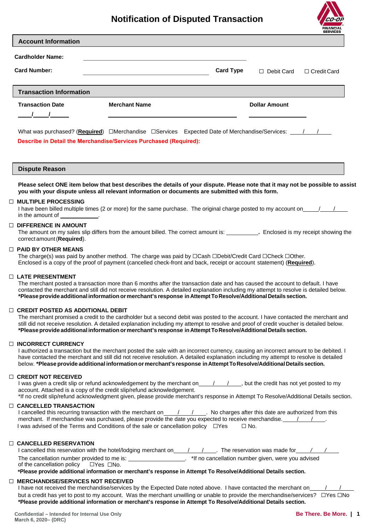# **Notification of Disputed Transaction**



| <b>Account Information</b>                           |                                                                                                                                                                                                                                     |                  |                      |                    |
|------------------------------------------------------|-------------------------------------------------------------------------------------------------------------------------------------------------------------------------------------------------------------------------------------|------------------|----------------------|--------------------|
| <b>Cardholder Name:</b>                              |                                                                                                                                                                                                                                     |                  |                      |                    |
| <b>Card Number:</b>                                  |                                                                                                                                                                                                                                     | <b>Card Type</b> | $\Box$ Debit Card    | $\Box$ Credit Card |
| <b>Transaction Information</b>                       |                                                                                                                                                                                                                                     |                  |                      |                    |
| <b>Transaction Date</b>                              | <b>Merchant Name</b><br><u> 1989 - Johann Stoff, amerikansk politiker (d. 1989)</u>                                                                                                                                                 |                  | <b>Dollar Amount</b> |                    |
|                                                      | What was purchased? (Required) $\Box$ Merchandise $\Box$ Services Expected Date of Merchandise/Services: $\Box$<br>Describe in Detail the Merchandise/Services Purchased (Required):                                                |                  |                      |                    |
| <b>Dispute Reason</b>                                |                                                                                                                                                                                                                                     |                  |                      |                    |
|                                                      | Please select ONE item below that best describes the details of your dispute. Please note that it may not be possible to assist<br>you with your dispute unless all relevant information or documents are submitted with this form. |                  |                      |                    |
| <b>MULTIPLE PROCESSING</b><br>□.<br>in the amount of | I have been billed multiple times (2 or more) for the same purchase. The original charge posted to my account on $\frac{1}{1}$                                                                                                      |                  |                      |                    |

# ☐ **DIFFERENCE IN AMOUNT**

The amount on my sales slip differs from the amount billed. The correct amount is: **.** Enclosed is my receipt showing the correct amount (**Required**).

### ☐ **PAID BY OTHER MEANS**

The charge(s) was paid by another method. The charge was paid by □Cash □Debit/Credit Card □Check □Other. Enclosed is a copy of the proof of payment (cancelled check-front and back, receipt or account statement) (**Required**).

### ☐ **LATE PRESENTMENT**

The merchant posted a transaction more than 6 months after the transaction date and has caused the account to default. I have contacted the merchant and still did not receive resolution. A detailed explanation including my attempt to resolve is detailed below. **\*Pleaseprovide additional informationormerchant's response in Attempt To Resolve/Additional Details section.**

### ☐ **CREDIT POSTED AS ADDITIONAL DEBIT**

The merchant promised a credit to the cardholder but a second debit was posted to the account. I have contacted the merchant and still did not receive resolution. A detailed explanation including my attempt to resolve and proof of credit voucher is detailed below. **\*Pleaseprovide additional informationormerchant's response in Attempt To Resolve/Additional Details section.**

### ☐ **INCORRECT CURRENCY**

I authorized a transaction but the merchant posted the sale with an incorrect currency, causing an incorrect amount to be debited. I have contacted the merchant and still did not receive resolution. A detailed explanation including my attempt to resolve is detailed below. **\*Pleaseprovide additional informationormerchant's response in Attempt ToResolve/Additional Details section.**

### ☐ **CREDIT NOT RECEIVED**

I was given a credit slip or refund acknowledgement by the merchant on  $\frac{1}{1}$ , but the credit has not yet posted to my account. Attached is a copy of the credit slip/refund acknowledgement.

\*If no credit slip/refund acknowledgment given, please provide merchant's response in Attempt To Resolve/Additional Details section. ☐ **CANCELLED TRANSACTION**

| I cancelled this recurring transaction with the merchant on                                          |  | No charges after this date are authorized from this |  |  |
|------------------------------------------------------------------------------------------------------|--|-----------------------------------------------------|--|--|
| merchant. If merchandise was purchased, please provide the date you expected to receive merchandise. |  |                                                     |  |  |
| I was advised of the Terms and Conditions of the sale or cancellation policy $\Box$ Yes              |  | $\Box$ No.                                          |  |  |

### ☐ **CANCELLED RESERVATION**

| I cancelled this reservation with the hotel/lodging merchant on | The reservation was made for                       |
|-----------------------------------------------------------------|----------------------------------------------------|
| The cancellation number provided to me is:                      | *If no cancellation number given, were you advised |
| of the cancellation policy<br>□Yes □No.                         |                                                    |

**\*Please provide additional information or merchant's response in Attempt To Resolve/Additional Details section.**

# ☐ **MERCHANDISE/SERVICES NOT RECEIVED**

I have not received the merchandise/services by the Expected Date noted above. I have contacted the merchant on but a credit has yet to post to my account. Was the merchant unwilling or unable to provide the merchandise/services? ☐Yes ☐No **\*Please provide additional information or merchant's response in Attempt To Resolve/Additional Details section.**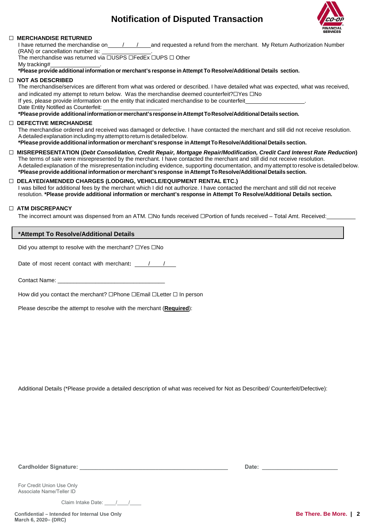# **Notification of Disputed Transaction**



# ☐ **MERCHANDISE RETURNED**

I have returned the merchandise on  $\frac{1}{1-\alpha}$  and requested a refund from the merchant. My Return Authorization Number (RAN) or cancellation number is:

The merchandise was returned via □USPS □FedEx □UPS □ Other My tracking# .

**\*Please provide additional information or merchant's response in Attempt To Resolve/Additional Details section.**

### ☐ **NOT AS DESCRIBED**

The merchandise/services are different from what was ordered or described. I have detailed what was expected, what was received, and indicated my attempt to return below. Was the merchandise deemed counterfeit?□Yes □No If yes, please provide information on the entity that indicated merchandise to be counterfeit

Date Entity Notified as Counterfeit:

**\*Pleaseprovide additional informationor merchant's response in AttemptToResolve/Additional Details section.**

## ☐ **DEFECTIVE MERCHANDISE**

The merchandise ordered and received was damaged or defective. I have contacted the merchant and still did not receive resolution. A detailed explanation including my attempt to return is detailed below.

**\*Pleaseprovide additional informationormerchant's response in Attempt To Resolve/Additional Details section.**

☐ **MISREPRESENTATION (***Debt Consolidation, Credit Repair, Mortgage Repair/Modification, Credit Card Interest Rate Reduction***)** The terms of sale were misrepresented by the merchant. I have contacted the merchant and still did not receive resolution. A detailed explanation of the misrepresentation including evidence, supporting documentation, and my attempt to resolve is detailed below. **\*Pleaseprovide additional informationormerchant's response in Attempt To Resolve/Additional Details section.**

# ☐ **DELAYED/AMENDED CHARGES (LODGING, VEHICLE/EQUIPMENT RENTAL ETC.)**

I was billed for additional fees by the merchant which I did not authorize. I have contacted the merchant and still did not receive resolution. **\*Please provide additional information or merchant's response in Attempt To Resolve/Additional Details section.**

# ☐ **ATM DISCREPANCY**

The incorrect amount was dispensed from an ATM. ☐No funds received ☐Portion of funds received – Total Amt. Received:

# **\*Attempt To Resolve/Additional Details**

Did you attempt to resolve with the merchant? ☐Yes ☐No

Date of most recent contact with merchant:  $\frac{1}{1-\frac{1}{1-\frac{1}{1-\frac{1}{1-\frac{1}{1-\frac{1}{1-\frac{1}{1-\frac{1}{1-\frac{1}{1-\frac{1}{1-\frac{1}{1-\frac{1}{1-\frac{1}{1-\frac{1}{1-\frac{1}{1-\frac{1}{1-\frac{1}{1-\frac{1}{1-\frac{1}{1-\frac{1}{1-\frac{1}{1-\frac{1}{1-\frac{1}{1-\frac{1}{1-\frac{1}{1-\frac{1}{1-\frac{1}{1-\frac{1}{1-\frac{1}{1-\frac{1$ 

Contact Name:

How did you contact the merchant? □Phone □Email □Letter □ In person

Please describe the attempt to resolve with the merchant (**Required**):

Additional Details (\*Please provide a detailed description of what was received for Not as Described/ Counterfeit/Defective):

**Cardholder Signature: \_\_\_\_\_\_\_\_\_\_\_\_\_\_\_\_\_\_\_\_\_\_\_\_\_\_\_\_\_\_\_\_\_\_\_\_\_\_\_\_\_\_\_\_\_\_\_ Date: \_\_\_\_\_\_\_\_\_\_\_\_\_\_\_\_\_\_\_\_\_\_\_\_**

For Credit Union Use Only Associate Name/Teller ID

Claim Intake Date: \_\_\_\_\_/\_\_\_\_/\_\_\_\_

**Confidential – Intended for Internal Use Only March 6, 2020– (DRC)**